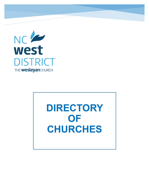

# **DIRECTORY OF CHURCHES**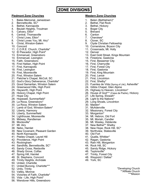# **ZONE DIVISIONS**

# **Piedmont Zone Churches**

- 1. Bales Memorial, Jamestown
- 2. Bennettsville, SC\*
- 3. Bethel, Kannapolis
- 4. Beulah Heights, Troutman
- 5. Calvary, Elkin\*
- 6. Central, Thomasville
- 7. Christ Lives, Elkin\*
- 8. Christ Loves You, Mt. Airy\*
- 9. Christ, Winston-Salem
- 10. Concord
- 11. C.O.R.E. Church, Charlotte\*
- 12. El Pescador, High Point\*
- 13. Emmanuel, Greensboro
- 14. Emmanuel, Lexington
- 15. Faith, Greensboro
- 16. First Haitian, High Point
- 17. First, Kannapolis
- 18. First, Lexington
- 19. First, Mooresville
- 20. First, Winston Salem
- 21. Fletcher's Chapel, McColl, SC
- 22. God's Glory Deliverance, Charlotte\*
- 23. Good Samaritan, Winston Salem
- 24. Greenwood Hills, High Point
- 25. Hayworth, High Point
- 26. Hickory Chapel, High Point
- 27. Hope City
- 28. Hopewell, Summerfield\*
- 29. La Roca, Greensboro\*
- 30. La Roca, Winston Salem
- 31. Lamb of God, Winston-Salem\*
- 32. Liberty, Harmony
- 33. Liberty, Summerfield
- 34. Lighthouse, Mooresville
- 35. Midway, Randleman
- 36. Mocksville\*
- 37. Mt. Airy
- 38. Nebo, Hamlet
- 39. New Covenant, Pleasant Garden
- 40. North Kannapolis
- 41. Peeles Chapel, Laurel Hill
- 42. Providence, High Point
- 43. Rockingham
- 44. Sandhills, Bennettsville, SC\*
- 45. Sandy Cross, Reidsville
- 46. Shady Grove, Colfax
- 47. Spring Hill, Hamlet
- 48. St. Stephens, Concord
- 49. Trinity Heights, Archdale
- 50. United, Charlotte
- 51. United Bunong, Charlotte\*\*\*
- 52. Unity, Trinity
- 53. Valley, Monroe
- 54. Victories of Faith, Charlotte\*
- 55. Vida Life, High Point\*
- 56. Wendover Hills, Greensboro

# **Western Zone Churches**

- 1. Belen (Bethlehem)\*
- 2. Bethel, Flat Rock
- 3. Bethel, Hickory
- 4. Boger City
- 5. Brevard
- 6. Canton
- 7. Cherokee\*
- 8. Clover, SC
- 9. Clyde Christian Fellowship
- 10. Cornerstone, Bryson City
- 11. Crossroads, Mt. Holly
- 12. Denver
- 13. East Gold Street, Kings Mountain
- 14. Firestone, Gastonia
- 15. First, Bessemer City
- 16. First, Cherryville
- 17. First, Forest City
- 18. First, Gastonia
- 19. First, King Mountain
- 20. First, Lenoir
- 21. First, Lincolnton
- 22. First, Shelby\*
- 23. Fuentes de Vida (Spring of Life), Asheville\*
- 24. Gibbs Chapel, Glen Alpine
- 25. Highway to Heaven, Lincolnton\*
- 26. House of God\*\*\* (Casa de Padre), Hickory

\*Developing Church \*\*Affiliate Church \*\*\*Mission

- 27. Life Spring, Etowah\*
- 28. Light to the Nations\*
- 29. Long Shoals, Lincolnton
- 30. Maiden\*
- 31. McAdenville
- 32. Missionary, Forest City
- 33. Morganton\*
- 34. Mt. Hebron, Old Fort
- 35. Mt. Moriah, Candler
- 36. Mt. Wesley, Hiddenite
- 37. New Bethel\*\* Shelby
- 38. New Hope, Rock Hill, SC\*
- 39. Northview, Statesville

43. Rain Hill, Morganton

45. Sandy Ridge, Hickory

- 40. Old Fort
- 41. Qualla, Whittier\* 42. Ragan, Gastonia

44. Rock Hill, SC

46. Taylorsville\* 47. Trinity, Forest City 48. Waypoint / Dallas\*

49. York, SC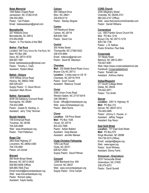# **Bales Memorial**

1000 Bales Chapel Road Jamestown, NC 27282-9125 336-454-2663 Pastor: Carl Pulliam Email: baleswesleyan@gmail.com

# **Bennettsville**

207 Wiltshire Drive Bennettsville, SC 29512 910-652-6556 Pastor: In The Hands of the DBA

# **Bethel - Flat Rock**

Location: 909 Tracy Grove Rd, Flat Rock, NC Mail: PO Box 268 Dana, NC 28731-9720 828-697-1661 Email: bethelwesleyan@hotmail.com Pastor: Timothy L. Clark Assistant: Robert Allred

# **Bethel - Hickory**

1616 Wilkes Grove Road Hickory, NC 28602-7458 828-328-4221 Supply Pastor: O. David Shrum Assistant: Mark Shrum

#### **Bethel - Kannapolis**

4036 Old Salisbury-Concord Road Kannapolis, NC 28083 704-933-2896 Pastor: Joseph B. Harding, Jr. Assistant: Jerry "Chip" Norman

# **Beulah Heights**

108 Emmanuel Road Troutman, NC 28166 704-528-4069 Web: www.bhwesleyan.org Pastor: Trent Patterson

# **Boger City**

2803 East Highway 27 Lincolnton, NC 28092-4380 704-735-4681 Pastor: Jim Schall

# **Brevard**

583 North Broad Street Brevard, NC 28712-0632 828-883-8408 (Office) 828-885-7826 (Fax) Email:richardj@brevardwesleyan.org Web: www.brevardwesleyan.org Pastor: Richard Jelley Assistant: Kayla Gaddy

#### **Calvary**

464 Oakland Drive Elkin, NC 28621 336-835-6114 Pastor: Stanley Stogner

# **Canton**

149 Newfound Street Canton, NC 28716 828-648-1540 Pastor: David Vos

# **Central**

300 Hinkle Street Thomasville, NC 27360-5422 336-476-4664 Email: tvillecwc@gmail.com Pastor: David M. Albertson

# **Cherokee**

**Mail:** 252 Battle Brand Road (*Pastor*) Bryson City NC 28713 **Location:** 3 miles east on US 19 Cherokee, NC 28719-7919 Pastor: Scott Touzell Assistant: Rebecca Touzell

# **Christ**

2390 Union Cross Road Winston Salem, NC 27107-6418 336-788-8813 Email: office@christwesleyan.org Web: www.christwesleyan.org Pastor: Mark Norris

# **Clover**

**Location:** 109 Price Street **Mail:** PO Box 1426 Clover, SC 29710 803-222-7069 Pastor: Adrian Ballard Assistant: Greg Manser Assistant: Jennifer Manser

# **Clyde Christian Fellowship**

1055 Lee Road Clyde, NC 28721 828-627-2502 Supply Pastor: David Pittman

# **Concord**

2295 Barnhardt Ave. NW Concord, NC 28027 Web: www.concordwesleyan.org Supply Pastor: Chris Carlyle

# **CORE Church**

2300 Alleghany Street Charlotte, NC 28208-3741 980-202-2147 (Office) Web: www.thecorechurchofcharlotte.com Pastor: Darrell Williams

#### **Cornerstone**

Loc.: 495 Franklin Grove Church Rd Mail: PO Box 1216 Bryson City, NC 28713-1216 828-736-1136 Pastor: J. B. Nathan *Pastor Emeritus:* Paul Sale

# **Crossroads**

101 Beaty Road Belmont, NC 28012-2601 704-827-8381 Web: https://www.crossroadsbelmont.site Facebook: [Crossroadsbelmont](http://www.facebook.com/Crossroadsbelmont) Pastor: Ronald Lee Assistant: Anthony Helms

# **Dallas/Waypoint**

217 South College Street Dallas, NC 28034 704-922-2971 Pastor: Tim Smith

# **Denver**

**Location:** 2381 N. Highway 16 **Mail:** PO Box 312 Denver, NC 28037-0312 704-483-0469 Pastor: Johnny C. Houser, Jr. Assistant: Jeffrey Teague Assistant: Kay Nixon

# **East Gold Street**

**Location:** 701 East Gold Street **Mail:** PO Box 875 Kings Mountain, NC 28086 704-739-3215 (Office) Email: eastgold@egsw.org Web: www.egsw.org Pastor: Scott Whitney Assistant: Sonny Farris

# **Emmanuel—Greensboro**

3233 Yanceyville Street Greensboro, NC 27405 336-375-5272 Pastor: David Surrett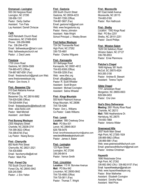## **Emmanuel—Lexington**

555 Old Hargrave Road Lexington, NC 27295 336-956-1331 Pastor: Darby Gaither Assistant: Tom Fiala Lay Assistant: Darrell Chriscoe

# **Faith**

4425 Rehobeth Church Road Greensboro, NC 27406-9245 Phone: 336-299-9996 Fax: 336-294-4736 Email: faithwesleyan@triad.rr.com Web: faithwesleyanchurch.net Pastor: J. Daryl Lewis

# **Firestone**

1700 Union Road Gastonia, NC 28054-5569 704-865-4572 (Office) 704-867-867-6591 (Fax) Email: firestonechurch@gmail.com Web: www.firestonewesleyan.org Pastor: Don Avore, II

# **First - Bessemer City**

510 East Alabama Avenue PO Box 682 Bessemer City, NC 28016-0682 704-629-5286 (Office) 704-629-6494 (Fax) Email: [firstwesleyanbc@bellsouth.net](mailto:firstwesleyanbc@bellsouth.net) Web: www.fwcbc.com Pastor: Matt Mitchell Assistant: Josh Baker

# **First Bunong Wesleyan**

2300 Alleghany Street Charlotte, NC 28208-3741 704-399-3622 (Office) 704-399-6745 (Fax) Lay Pastor: Nsang Bunyu

# **First - Cherryville**

800 North Pink Street Cherryville, NC 28021-2521 704-435-6069 Email: fwccherryville@att.net Pastor: Mark Poe

# **First - Forest City**

700 South Church Street Forest City, NC 28043-3942 828-245-5460 Pastor: J. Eric Yelton

# **First - Gastonia**

208 South Church Street Gastonia, NC 28054-4233 704-867-7206 (Office) 704-867-5607 (Fax) Email: gastonia1st@gmail.com Web: www.fwcgastonia.org Pastor: Kenny Johnston Assistant: Nate Wright School Principal: J. Wesley Brown

# **First Haitian Wesleyan**

724 Old Thomasville Road High Point, NC 27262 336-735-4681 Pastor: Charles Wilguere

# **First - Kannapolis**

301 Bethpage Road Kannapolis, NC 28081-4812 704-932-8308 (Office) 704-938-3259 (Fax) Web: www.kfwc.org Email: office@kfwc.org Pastor: R. Scott Wheeler Assistant: Scott Bryson Assistant: Michael Covington Assistant: Selina Wheeler

# **First - Kings Mountain**

505 North Piedmont Avenue Kings Mountain, NC 28086 704-739-4266 Pastor: Don L. Williams Co-Pastor: Caleb Williams

# **First - Lenoir**

**Location**: 906 Creekway Drive **Mail:** PO Box 631 Lenoir, NC 28645-0631 828-758-5476 Email: lenoirfirstwesleyanchurch@yahoo.com www.lenoirfirstwesleyanchurch.com Pastor: James A. Baker

# **First - Lexington**

123 Ryan Street Lexington, NC 27295 336-249-8414 Pastor: Vernon Smith

#### **First - Lincolnton**

**Location:** 115 W. Bonview Avenue **Mail:** PO Box 642 Lincolnton, NC 28093-0642 704-735-4956 (Office) 704-735-0811 (Fax) Pastor: Thomas T. Wright

#### **First - Mooresville**

601 East Iredell Avenue Mooresville, NC 28115 704-663-5180 Pastor: Ron Haithcock

#### **First - Shelby**

Location: 1542 Kings Road Mail: PO Box 2251 Shelby, NC 28151-2251 Pastor: David Phillips

#### **First - Winston Salem**

1629 Old Salisbury Road Winston Salem, NC 27127 336-785-9553 Pastor: Ernie Plemmons

# **Fletcher's Chapel**

1649 Highway 381 North McColl, SC 29570-4524 843-265-3156 Pastor: Andrew B. Stewart Assistant: Terena Taylor

# **Gibbs Chapel**

1741 Jamestown Road Morganton, NC 28655-0603 828-584-0453 Pastor: Cris Uren

# **God's Glory Deliverance**

**Meeting:** 2601 Rocky River Road Charlotte, NC 28213 **Mail:** 7990 Heatherstone Dr. Harrisburg, NC 28075 704-650-1868 Pastor: Antonio Wilder

# **Greenwood Hills**

2937 North Main Street High Point, NC 27265-1924 336-869-5662 (Office) 336-869-5661 (Fax) Web: www.greenwoodhillschurch.com Email: greenwoodhillschurch@gmail.com Pastor: Andrew Christman

# **Hayworth**

1696 Westchester Drive High Point, NC 27262 336-882-3842 (Ofc) / 336-882-9157 (Fax) Email: hayworthwesleyan@gmail.com Web: www.hayworthwesleyan.org Pastor: Brian Matherlee Assistant: Elizabeth Covington Assistant: Dorothy Klass Assistant: Matt Price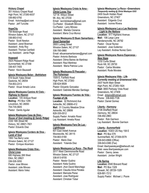# **Hickory Chapel**

301 Hickory Chapel Road High Point, NC 27260-6037 336-882-0792 Email: hickchap@aol.com Pastor: Jeff Turcotte

# **HopeCity**

758 Motsinger Road Winston Salem, NC 27107 336-883-0142 Pastor: Scott Newton Assistant: Jared Bowman Assistant: Andy Roy Assistant: Thomas Canfield Lay Assistant: Jamie Page

#### **Hopewell**

2825 Pleasant Ridge Road Summerfield, NC 27358 336-407-7405 Pastor: Kevin Bauswell

#### **Iglesia Wesleyana Belen -** *Bethlehem*

519 South Yates Street Gastonia, NC 28054 704-853-2313 Pastor: Anuar Amado Leiva

#### **Iglesia Wesleyana Camino Al Cielo -** *Highway to Heaven*

**Location**: 145 Antique Road **Mailing:** PO Box 1295 Lincolnton, NC 28093 704-735-0605 Pastor: Danilo Aguilar

# **Iglesia Wesleyana Casa de Dios -**

*House of God (meeting @ Sandy Ridge)* 2330 16th Street NE Hickory, NC 28601-7601

# Pastor: Eduardo Diaz **Iglesia Wesleyana Cordero de Dios -**

*Lamb of God* 1993 Tea Berry Lane Winston Salem, NC 27127 Pastor: Enrique Alcantara

# **Iglesia Wesleyana Cristo Vive -**

*Christ Lives*

680 Highway 268 West Elkin, NC 28621 336-526-3050 Pastor: Jose Minoso Assistant: Julie Minoso Assistant: Maria Velez

#### **Iglesia Wesleyana Cristo te Ama -**  *Christ Loves You*

127 W. Wilson Street Mt. Airy, NC 27030 Email: iwcristoteama@gmail.com Co-Pastor: Elizabeth Minoso Co-Pastor: Larry Minoso Assistant: Mariela Cisneros Assistant: Maria Cruz-Munoz

# **Iglesia Wesleyana El Buen Samaritano -** *Good Samaritan*

2800 Ludwig Street Winston Salem, NC 27107 336-785-0860 Email: elbuensamaritanows@gmail.com Pastor: Antonio Barboza Assistant: Dilma Baires de Martinez Assistant: Raul Martinez Assistant: Maria Patricia Luna

# **Iglesia Wesleyana El Pescador -**

*The Fisherman* 1509 E. Fairfield Road

High Point, NC 27263 336-624-9509 Pastor: Eduardo Gonzalez Assistant: Gabriela Mendez Santiago

#### **Iglesia Wesleyana Fuentes de Vida - Fountain of Life**

**Location**: 32 Richmond Ave Asheville, NC 28806-412 **Mail**: 31 Country Meadow Drive Asheville, NC 28806 828-335-0512 Supply Pastor: Arnaldo Rossi Lay Assistant: Amelia Rossi

#### **Iglesia Wesleyana Faro De Luz -** *Lighthouse*

601 East Iredell Avenue Mooresville, NC 28115 704-663-5180 Pastor: Mario Diaz Assistant: Yolanda Diaz

#### **Iglesia Wesleyana La Roca -** *The Rock*

2017 West Clemmonsville Road Winston Salem, NC 27127 336-813-9705 Pastor: Nestor Gudino Assistant: Keila Gudino Assistant: Jhon David Manchego Assistant: Claudia Arica Perales Assistant: Maricela Perez Assistant: Jose Rodriguez Assistant: Christian Tobar

# **Iglesia Wesleyana La Roca—Greensboro**

*Temporarily meeting @ Christ Wesleyan GSO* 2400 South Holden Road Greensboro, NC 27407 Assistant: Edgardo Cruz Assistant: Ivonne Rivera

# **Iglesia Wesleyana Luz a Las Naciones**

**-** *Light to the Nations* **Location:** 917 Highland Avenue. **Mail:** 106 Largo Lane Hendersonville, NC 28792 Pastor: Oscar Nunez Assistant: Jose Gutierrez Lay Assistant: Andrea Nunez Garo

#### **Iglesia Wesleyana Nueva Esperanza -** *New Hope*

1232 Curtis Street Rock Hill, SC 29730 Pastor: Carlos Morales Assistant: Rode Morales

# **Iglesia Wesleyana Vida -** *Life*

*Currently meeting at Greenwood Hills:* 2937 North Main Street

High Point, NC 27265-1924 **Mail:** 3800 Parkway Vista Road Greensboro, NC 27409 Email: [dnlgmz@hotmail.com](mailto:dnlgmz@hotmail.com) Phone: 336-848-7726 Pastor: Daniel Gomez

# **Liberty - Harmony**

2106 Sheffield Road Harmony, NC 28634 336-492-2963 Pastor: Rob Garrison Lay Assistant: Bonnie Garrison

# **Liberty - Summerfield**

**Location:** 15303 US Hwy 158 E **Mail:** PO Box 579 Summerfield, NC 27358-0579 336-643-6968 (Office) 336-643-0380 (Fax) Email: libertywesleyan@bellsouth.net Web: www.libertywesleyan.com Pastor: Danny Janes Assistant: Jordan Wright

# **Life Spring**

**Location:** 6540 Brevard Road **Mail:** PO Box 1329 Etowah, NC 28729-1329 828-891-7212 Supply Pastor: Michael J. Poore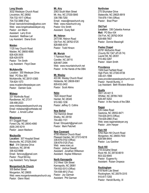# **Long Shoals**

3032 Wesleyan Church Road Lincolnton, NC 28092 704-732-1617 (Office) 704-732-3886 (Fax) Email: lswrockministries@yahoo.com Web: www.longshoalswesleyan.org Pastor: Jon Mann Assistant: Larry Ervin Assistant: Matthew Lail Lay Assistant: Diana Ervin

# **Maiden**

1125 Ivey Church Road Maiden, NC 28650-9585 828-428-3935 828-428-0576 Pastor: Tim Smith Lay Assistant: Floyd Dean

# **McAdenville**

Location: 300 Wesleyan Drive Mail: PO Box 365 McAdenville, NC 28101-0365 704-824-1073 www.mcadenvillewesleyan.com Pastor: Damien Gula

# **Midway**

331 Worthville Road Randleman, NC 27317 336-498-2023 www.midwaywesleyanchurch.org Email: midwesch@northstate.net Pastor: J. Arnold Luther

# **Missionary**

811 Doggett Road Forest City, NC 28043-4060 (828) 245-4219 Pastor: Jason Madison

# **Mocksville**

**Location:** 307 Hospital Street Mocksville, NC 27028-2040 **Mail**: 314 Oakview Drive Salisbury, NC 28146 336-422-9988 Email: famcvey@gmail.com Pastor: Floyd McVey Lay Assistant: Terry Sawyer

# **Morganton/Life Church**

305 Bethel Street Morganton, NC 28655 Web: www.morgantonwesleyanchurch.org Pastor: Glenn Ward

# **Mt. Airy**

2063 South Main Street Mt. Airy, NC 27030-5845 336-786-7250 Email: mawc@mawchurch.org Web: www.mawchurch.org Pastor: Eric Smith Assistant: Dusty Ball

# **Mt. Hebron**

2473 Mt. Hebron Road Old Fort, NC 28762-5725 828-668-4319 Pastor: Todd Hinson

# **Mt. Moriah**

1 Fairmont Road Candler, NC 28715 828-667-2494 Web: www.mountainchurch.net Pastor: In the Hands of the DBA

# **Mt. Wesley**

403 Mt. Wesley Church Road Hiddenite, NC 28636-9361 828-632-2402 Pastor: Scott Atkins

# **Nebo**

1820 Airport Road Hamlet, NC 28345 910-582-1236 Pastor: Jeffrey O. Collins

# **New Bethel**

702 Hamrick Street Shelby, NC 28150 704-482-1101 Email: 53mpatch@gmail.com Pastor: Mark Patchett

# **New Covenant**

4708 Alliance Church Road Pleasant Garden, NC 27313-9218 336-676-0102 (Office) 336-676-0125 (Fax) Web: www.ncwc.us Pastor: Joshua Dawalt Assistant: Jonathan Wilkerson Assistant: Kaylee Wilkerson

# **North Kannapolis**

312 West 12th Street Kannapolis, NC 28081 704-932-5313 (Office) 704-938-4812 (Fax) Pastor: Joy Garman Assistant: Phil Garman

# **Northview**

275 Shumaker Drive Statesville, NC 28625-8919 704-876-1194 (Office) Pastor: Brad Pharr

# **Old Fort**

**Location:** 336 Catawba Avenue **Mail:** PO Box 434 Old Fort, NC 28762-0434 828-668-7657 Pastor: Donnie Massingill

# **Peeles Chapel**

20781 McEachin Road (County Rd 1347 off US 74) Laurel Hill, NC 28351 910-462-3287 Pastor: Adam Smith

# **Providence**

1509 East Fairfield Road High Point, NC 27263-9726 336-431-1898 www.providencewesleyanchurch.com Pastor: Harold Bumby, II Lay Assistant: Beth Wooters Blanco

# **Qualla**

3501 US 441 S Whittier, NC 28789-7400 828-497-5202 Pastor: In the Hands of the DBA

# **Ragan**

535 Oates Road Gastonia, NC 28052-8471 704-629-2915 (Office) 704-629-2960 (Fax) Web: www.raganwesleyan.org Pastor: John Harper

# **Rain Hill**

5763 Rain Hill Church Road Morganton, NC 28655-7930 828-584-8444 Pastor: Lou Gardner

# **Rock Hill**

218 Annafrel Street Rock Hill, SC 29730-6619 803-322-6945 Pastor: Eugene Ku Assistant: Ruban Oropeza

# **Rockingham**

618 North Lee Street Rockingham, NC 28379-3315 910-817-7255 Pastor: Harold Bumby, III